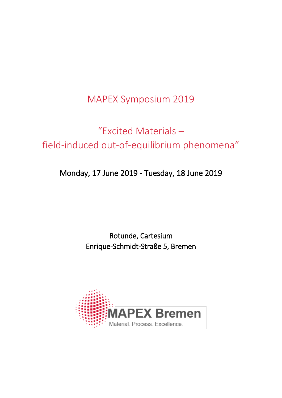MAPEX Symposium 2019

# "Excited Materials – field-induced out-of-equilibrium phenomena"

Monday, 17 June 2019 - Tuesday, 18 June 2019

Rotunde, Cartesium Enrique-Schmidt-Straße 5, Bremen

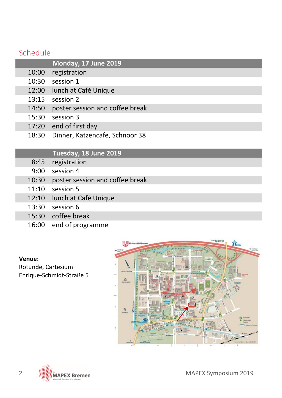### Schedule

|       | Monday, 17 June 2019            |
|-------|---------------------------------|
| 10:00 | registration                    |
| 10:30 | session 1                       |
| 12:00 | lunch at Café Unique            |
| 13:15 | session 2                       |
| 14:50 | poster session and coffee break |
| 15:30 | session 3                       |
| 17:20 | end of first day                |
| 18:30 | Dinner, Katzencafe, Schnoor 38  |

### **Tuesday, 18 June 2019**

- 8:45 registration
- 9:00 session 4
- 10:30 poster session and coffee break
- 11:10 session 5
- 12:10 lunch at Café Unique
- 13:30 session 6
- 15:30 coffee break
- 16:00 end of programme

#### **Venue:**

Rotunde, Cartesium Enrique-Schmidt-Straße 5

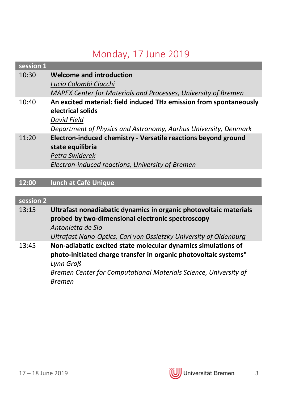# Monday, 17 June 2019

| session 1 |                                                                    |
|-----------|--------------------------------------------------------------------|
| 10:30     | Welcome and introduction                                           |
|           | Lucio Colombi Ciacchi                                              |
|           | MAPEX Center for Materials and Processes, University of Bremen     |
| 10:40     | An excited material: field induced THz emission from spontaneously |
|           | electrical solids                                                  |
|           | David Field                                                        |
|           | Department of Physics and Astronomy, Aarhus University, Denmark    |
| 11:20     | Electron-induced chemistry - Versatile reactions beyond ground     |
|           | state equilibria                                                   |
|           | Petra Swiderek                                                     |
|           | Electron-induced reactions, University of Bremen                   |
|           |                                                                    |

## **12:00 lunch at Café Unique**

### **session 2**

| 13:15 | Ultrafast nonadiabatic dynamics in organic photovoltaic materials |
|-------|-------------------------------------------------------------------|
|       | probed by two-dimensional electronic spectroscopy                 |
|       | Antonietta de Sio                                                 |
|       | Ultrafast Nano-Optics, Carl von Ossietzky University of Oldenburg |
| 13:45 | Non-adiabatic excited state molecular dynamics simulations of     |
|       | photo-initiated charge transfer in organic photovoltaic systems"  |
|       | Lynn Groß                                                         |
|       | Bremen Center for Computational Materials Science, University of  |
|       | <b>Bremen</b>                                                     |

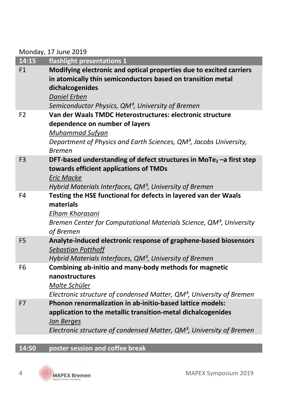Monday, 17 June 2019

|                | <b>IVIUIIUAY, 17 JUIIE ZUIJ</b>                                                                                                                                                                                                               |
|----------------|-----------------------------------------------------------------------------------------------------------------------------------------------------------------------------------------------------------------------------------------------|
| 14:15          | flashlight presentations 1                                                                                                                                                                                                                    |
| F <sub>1</sub> | Modifying electronic and optical properties due to excited carriers<br>in atomically thin semiconductors based on transition metal<br>dichalcogenides<br><b>Daniel Erben</b><br>Semiconductor Physics, QM <sup>3</sup> , University of Bremen |
| F <sub>2</sub> | Van der Waals TMDC Heterostructures: electronic structure<br>dependence on number of layers<br>Muhammad Sufyan<br>Department of Physics and Earth Sciences, QM <sup>3</sup> , Jacobs University,<br><b>Bremen</b>                             |
| F <sub>3</sub> | DFT-based understanding of defect structures in MoTe <sub>2</sub> -a first step<br>towards efficient applications of TMDs<br><b>Eric Macke</b><br>Hybrid Materials Interfaces, QM <sup>3</sup> , University of Bremen                         |
| F4             | Testing the HSE functional for defects in layered van der Waals<br>materials<br>Elham Khorasani<br>Bremen Center for Computational Materials Science, QM <sup>3</sup> , University<br>of Bremen                                               |
| F <sub>5</sub> | Analyte-induced electronic response of graphene-based biosensors<br><b>Sebastian Potthoff</b><br>Hybrid Materials Interfaces, QM <sup>3</sup> , University of Bremen                                                                          |
| F <sub>6</sub> | Combining ab-initio and many-body methods for magnetic<br>nanostructures<br>Malte Schüler<br>Electronic structure of condensed Matter, QM <sup>3</sup> , University of Bremen                                                                 |
| F7             | Phonon renormalization in ab-initio-based lattice models:<br>application to the metallic transition-metal dichalcogenides<br>Jan Berges<br>Electronic structure of condensed Matter, QM <sup>3</sup> , University of Bremen                   |
|                |                                                                                                                                                                                                                                               |

### **14:50 poster session and coffee break**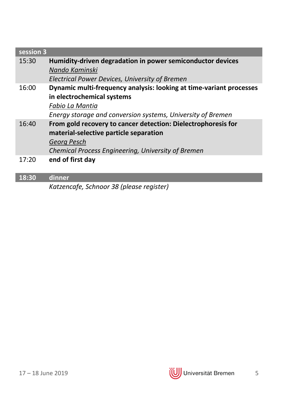| session 3 |                                                                              |
|-----------|------------------------------------------------------------------------------|
| 15:30     | Humidity-driven degradation in power semiconductor devices<br>Nando Kaminski |
|           | Electrical Power Devices, University of Bremen                               |
| 16:00     | Dynamic multi-frequency analysis: looking at time-variant processes          |
|           | in electrochemical systems                                                   |
|           | Fabio La Mantia                                                              |
|           | Energy storage and conversion systems, University of Bremen                  |
| 16:40     | From gold recovery to cancer detection: Dielectrophoresis for                |
|           | material-selective particle separation                                       |
|           | Georg Pesch                                                                  |
|           | Chemical Process Engineering, University of Bremen                           |
| 17:20     | end of first day                                                             |

### **18:30 dinner**

*Katzencafe, Schnoor 38 (please register)*

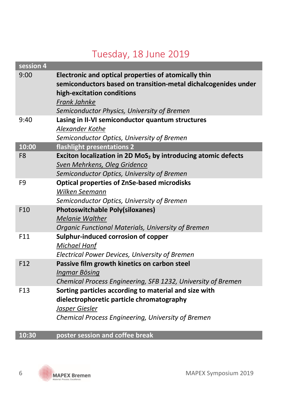# Tuesday, 18 June 2019

| session 4       |                                                                                                                        |
|-----------------|------------------------------------------------------------------------------------------------------------------------|
| 9:00            | Electronic and optical properties of atomically thin<br>semiconductors based on transition-metal dichalcogenides under |
|                 | high-excitation conditions                                                                                             |
|                 | Frank Jahnke                                                                                                           |
|                 | Semiconductor Physics, University of Bremen                                                                            |
| 9:40            | Lasing in II-VI semiconductor quantum structures                                                                       |
|                 | Alexander Kothe                                                                                                        |
|                 | Semiconductor Optics, University of Bremen                                                                             |
| 10:00           | flashlight presentations 2                                                                                             |
| F <sub>8</sub>  | Exciton localization in 2D MoS <sub>2</sub> by introducing atomic defects                                              |
|                 | Sven Mehrkens, Oleg Gridenco                                                                                           |
|                 | Semiconductor Optics, University of Bremen                                                                             |
| F <sub>9</sub>  | <b>Optical properties of ZnSe-based microdisks</b>                                                                     |
|                 | Wilken Seemann                                                                                                         |
|                 | Semiconductor Optics, University of Bremen                                                                             |
| F <sub>10</sub> | <b>Photoswitchable Poly(siloxanes)</b>                                                                                 |
|                 | <b>Melanie Walther</b>                                                                                                 |
|                 | Organic Functional Materials, University of Bremen                                                                     |
| F11             | Sulphur-induced corrosion of copper                                                                                    |
|                 | <b>Michael Hanf</b>                                                                                                    |
|                 | Electrical Power Devices, University of Bremen                                                                         |
| F12             | Passive film growth kinetics on carbon steel                                                                           |
|                 | Ingmar Bösing                                                                                                          |
| F <sub>13</sub> | Chemical Process Engineering, SFB 1232, University of Bremen                                                           |
|                 | Sorting particles according to material and size with                                                                  |
|                 | dielectrophoretic particle chromatography                                                                              |
|                 | Jasper Giesler<br>Chemical Process Engineering, University of Bremen                                                   |
|                 |                                                                                                                        |

### **10:30 poster session and coffee break**

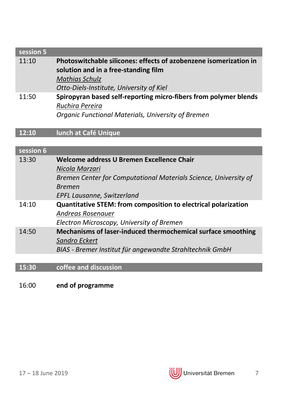## **session 5** 11:10 **Photoswitchable silicones: effects of azobenzene isomerization in solution and in a free-standing film** *Mathias Schulz Otto-Diels-Institute, University of Kiel* 11:50 **Spiropyran based self-reporting micro-fibers from polymer blends** *Ruchira Pereira Organic Functional Materials, University of Bremen*

### **12:10 lunch at Café Unique**

#### **session 6**

|       | Nicola Marzari<br>Bremen Center for Computational Materials Science, University of<br><b>Bremen</b><br>EPFL Lausanne, Switzerland         |
|-------|-------------------------------------------------------------------------------------------------------------------------------------------|
| 14:10 | Quantitative STEM: from composition to electrical polarization<br>Andreas Rosenauer<br>Electron Microscopy, University of Bremen          |
| 14:50 | Mechanisms of laser-induced thermochemical surface smoothing<br>Sandro Eckert<br>BIAS - Bremer Institut für angewandte Strahltechnik GmbH |

#### **15:30 coffee and discussion**

#### 16:00 **end of programme**